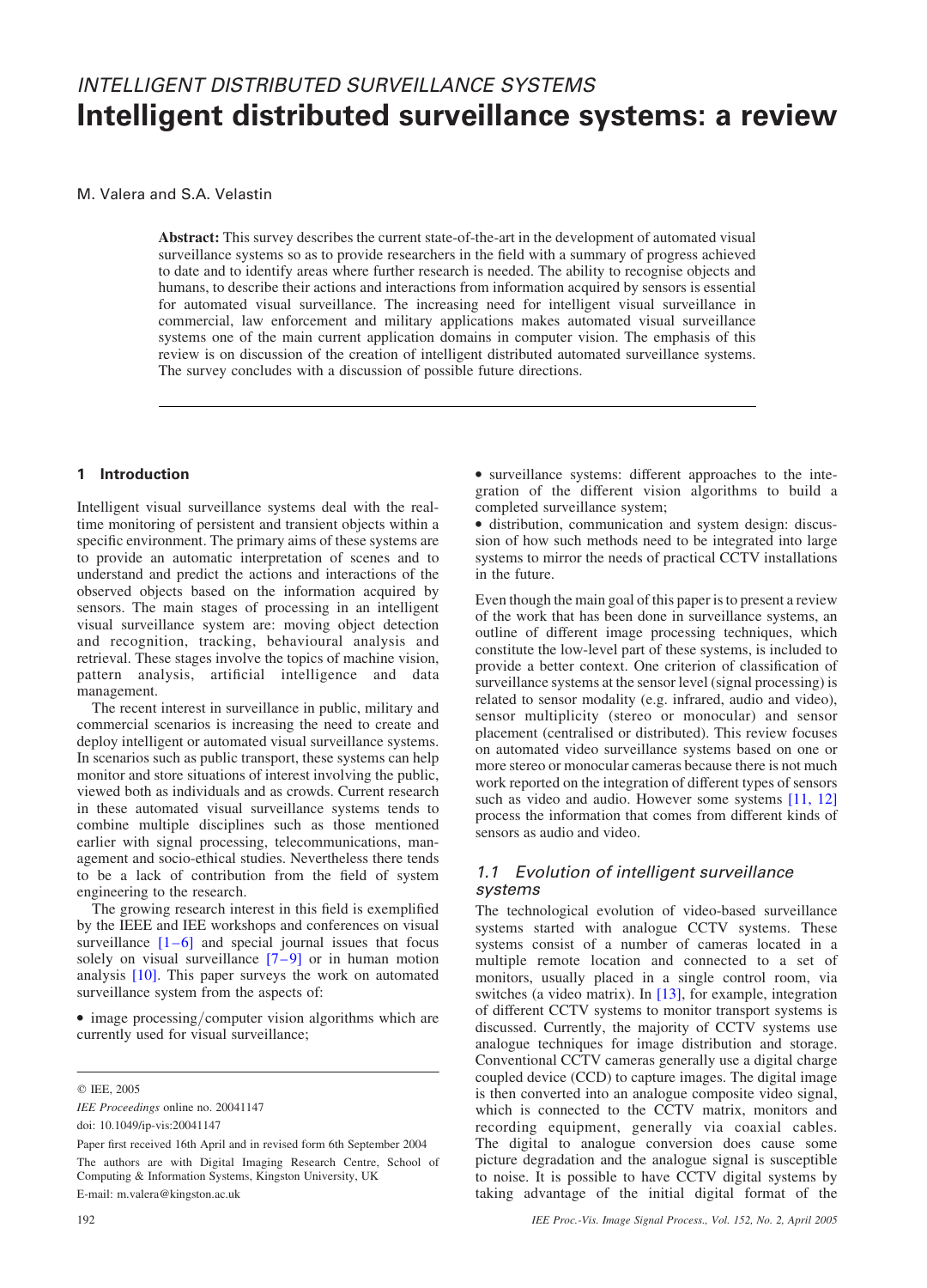# INTELLIGENT DISTRIBUTED SURVEILLANCE SYSTEMS Intelligent distributed surveillance systems: a review

## M. Valera and S.A. Velastin

Abstract: This survey describes the current state-of-the-art in the development of automated visual surveillance systems so as to provide researchers in the field with a summary of progress achieved to date and to identify areas where further research is needed. The ability to recognise objects and humans, to describe their actions and interactions from information acquired by sensors is essential for automated visual surveillance. The increasing need for intelligent visual surveillance in commercial, law enforcement and military applications makes automated visual surveillance systems one of the main current application domains in computer vision. The emphasis of this review is on discussion of the creation of intelligent distributed automated surveillance systems. The survey concludes with a discussion of possible future directions.

#### 1 Introduction

Intelligent visual surveillance systems deal with the realtime monitoring of persistent and transient objects within a specific environment. The primary aims of these systems are to provide an automatic interpretation of scenes and to understand and predict the actions and interactions of the observed objects based on the information acquired by sensors. The main stages of processing in an intelligent visual surveillance system are: moving object detection and recognition, tracking, behavioural analysis and retrieval. These stages involve the topics of machine vision, pattern analysis, artificial intelligence and data management.

The recent interest in surveillance in public, military and commercial scenarios is increasing the need to create and deploy intelligent or automated visual surveillance systems. In scenarios such as public transport, these systems can help monitor and store situations of interest involving the public, viewed both as individuals and as crowds. Current research in these automated visual surveillance systems tends to combine multiple disciplines such as those mentioned earlier with signal processing, telecommunications, management and socio-ethical studies. Nevertheless there tends to be a lack of contribution from the field of system engineering to the research.

The growing research interest in this field is exemplified by the IEEE and IEE workshops and conferences on visual surveillance  $\begin{bmatrix} 1-6 \end{bmatrix}$  and special journal issues that focus solely on visual surveillance  $[7-9]$  or in human motion analysis [10]. This paper surveys the work on automated surveillance system from the aspects of:

 $\bullet$  image processing/computer vision algorithms which are currently used for visual surveillance;

IEE Proceedings online no. 20041147

doi: 10.1049/ip-vis:20041147

The authors are with Digital Imaging Research Centre, School of Computing & Information Systems, Kingston University, UK E-mail: m.valera@kingston.ac.uk Paper first received 16th April and in revised form 6th September 2004

gration of the different vision algorithms to build a completed surveillance system; . distribution, communication and system design: discus-

sion of how such methods need to be integrated into large systems to mirror the needs of practical CCTV installations in the future.

. surveillance systems: different approaches to the inte-

Even though the main goal of this paper is to present a review of the work that has been done in surveillance systems, an outline of different image processing techniques, which constitute the low-level part of these systems, is included to provide a better context. One criterion of classification of surveillance systems at the sensor level (signal processing) is related to sensor modality (e.g. infrared, audio and video), sensor multiplicity (stereo or monocular) and sensor placement (centralised or distributed). This review focuses on automated video surveillance systems based on one or more stereo or monocular cameras because there is not much work reported on the integration of different types of sensors such as video and audio. However some systems [11, 12] process the information that comes from different kinds of sensors as audio and video.

# 1.1 Evolution of intelligent surveillance systems

The technological evolution of video-based surveillance systems started with analogue CCTV systems. These systems consist of a number of cameras located in a multiple remote location and connected to a set of monitors, usually placed in a single control room, via switches (a video matrix). In  $[13]$ , for example, integration of different CCTV systems to monitor transport systems is discussed. Currently, the majority of CCTV systems use analogue techniques for image distribution and storage. Conventional CCTV cameras generally use a digital charge coupled device (CCD) to capture images. The digital image is then converted into an analogue composite video signal, which is connected to the CCTV matrix, monitors and recording equipment, generally via coaxial cables. The digital to analogue conversion does cause some picture degradation and the analogue signal is susceptible to noise. It is possible to have CCTV digital systems by taking advantage of the initial digital format of the

<sup>©</sup> IEE, 2005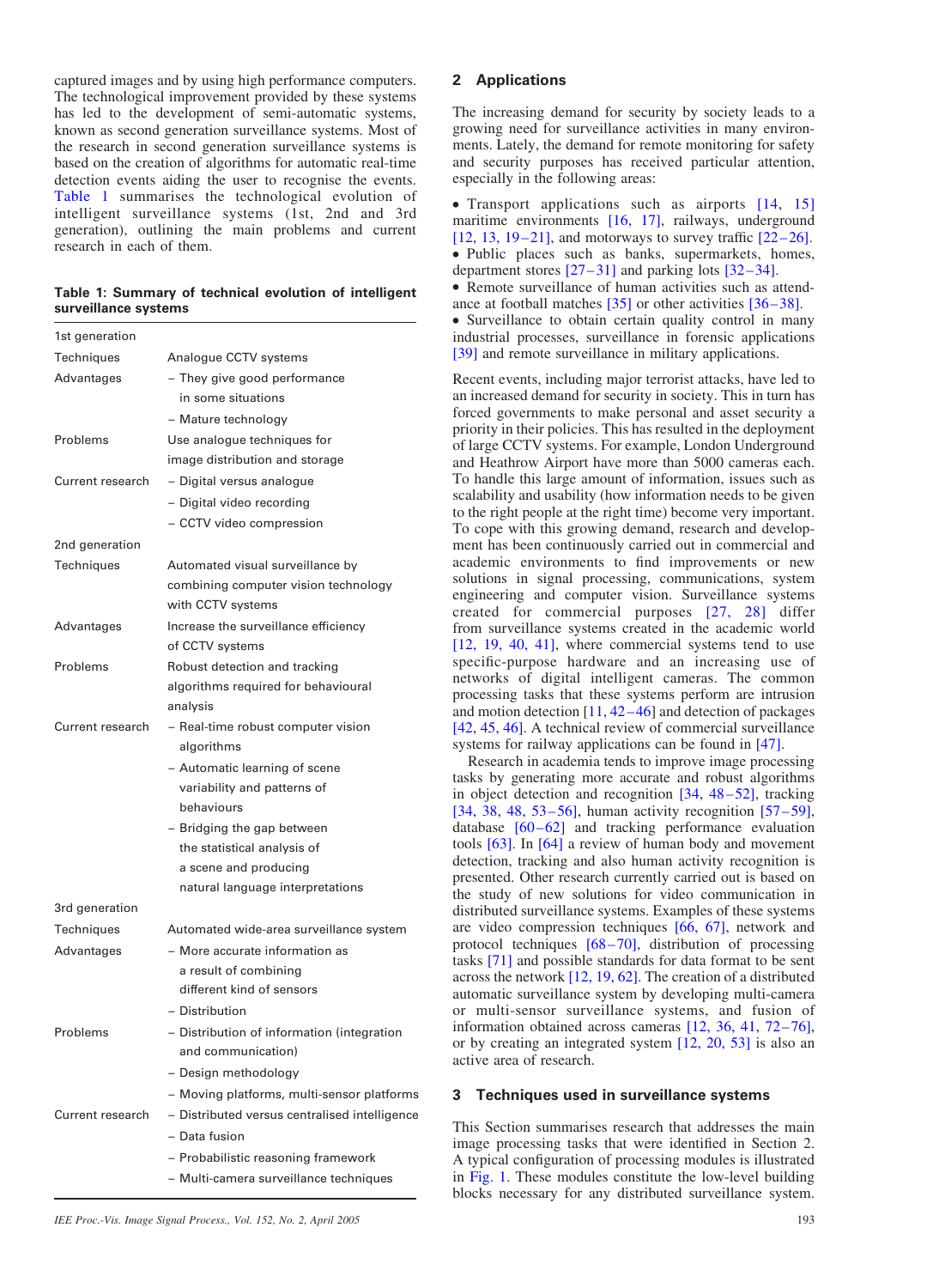captured images and by using high performance computers. The technological improvement provided by these systems has led to the development of semi-automatic systems, known as second generation surveillance systems. Most of the research in second generation surveillance systems is based on the creation of algorithms for automatic real-time detection events aiding the user to recognise the events. Table 1 summarises the technological evolution of intelligent surveillance systems (1st, 2nd and 3rd generation), outlining the main problems and current research in each of them.

## Table 1: Summary of technical evolution of intelligent surveillance systems

| 1st generation   |                                                           |
|------------------|-----------------------------------------------------------|
| Techniques       | Analogue CCTV systems                                     |
| Advantages       | - They give good performance                              |
|                  | in some situations                                        |
|                  | - Mature technology                                       |
| Problems         | Use analogue techniques for                               |
|                  | image distribution and storage                            |
| Current research | - Digital versus analogue                                 |
|                  | - Digital video recording                                 |
|                  | - CCTV video compression                                  |
| 2nd generation   |                                                           |
| Techniques       | Automated visual surveillance by                          |
|                  | combining computer vision technology<br>with CCTV systems |
| Advantages       | Increase the surveillance efficiency                      |
|                  | of CCTV systems                                           |
| Problems         | Robust detection and tracking                             |
|                  | algorithms required for behavioural                       |
|                  | analysis                                                  |
| Current research | - Real-time robust computer vision<br>algorithms          |
|                  | - Automatic learning of scene                             |
|                  | variability and patterns of                               |
|                  | behaviours                                                |
|                  | - Bridging the gap between                                |
|                  | the statistical analysis of                               |
|                  | a scene and producing                                     |
|                  | natural language interpretations                          |
| 3rd generation   |                                                           |
| Techniques       | Automated wide-area surveillance system                   |
| Advantages       | - More accurate information as                            |
|                  | a result of combining                                     |
|                  | different kind of sensors                                 |
|                  | - Distribution                                            |
| Problems         | - Distribution of information (integration                |
|                  | and communication)                                        |
|                  | - Design methodology                                      |
|                  | - Moving platforms, multi-sensor platforms                |
| Current research | - Distributed versus centralised intelligence             |
|                  | – Data fusion                                             |
|                  | - Probabilistic reasoning framework                       |
|                  | - Multi-camera surveillance techniques                    |

#### 2 Applications

The increasing demand for security by society leads to a growing need for surveillance activities in many environments. Lately, the demand for remote monitoring for safety and security purposes has received particular attention, especially in the following areas:

• Transport applications such as airports [14, 15] maritime environments [16, 17], railways, underground [12, 13, 19–21], and motorways to survey traffic  $[22-26]$ . . Public places such as banks, supermarkets, homes, department stores  $[27-31]$  and parking lots  $[32-34]$ .

. Remote surveillance of human activities such as attendance at football matches [35] or other activities [36–38]. . Surveillance to obtain certain quality control in many industrial processes, surveillance in forensic applications [39] and remote surveillance in military applications.

Recent events, including major terrorist attacks, have led to an increased demand for security in society. This in turn has forced governments to make personal and asset security a priority in their policies. This has resulted in the deployment of large CCTV systems. For example, London Underground and Heathrow Airport have more than 5000 cameras each. To handle this large amount of information, issues such as scalability and usability (how information needs to be given to the right people at the right time) become very important. To cope with this growing demand, research and development has been continuously carried out in commercial and academic environments to find improvements or new solutions in signal processing, communications, system engineering and computer vision. Surveillance systems created for commercial purposes [27, 28] differ from surveillance systems created in the academic world [12, 19, 40, 41], where commercial systems tend to use specific-purpose hardware and an increasing use of networks of digital intelligent cameras. The common processing tasks that these systems perform are intrusion and motion detection [11, 42–46] and detection of packages [42, 45, 46]. A technical review of commercial surveillance systems for railway applications can be found in [47].

Research in academia tends to improve image processing tasks by generating more accurate and robust algorithms in object detection and recognition [34, 48–52], tracking [34, 38, 48, 53–56], human activity recognition [57–59], database [60–62] and tracking performance evaluation tools [63]. In [64] a review of human body and movement detection, tracking and also human activity recognition is presented. Other research currently carried out is based on the study of new solutions for video communication in distributed surveillance systems. Examples of these systems are video compression techniques [66, 67], network and protocol techniques [68–70], distribution of processing tasks [71] and possible standards for data format to be sent across the network [12, 19, 62]. The creation of a distributed automatic surveillance system by developing multi-camera or multi-sensor surveillance systems, and fusion of information obtained across cameras [12, 36, 41, 72–76], or by creating an integrated system [12, 20, 53] is also an active area of research.

#### 3 Techniques used in surveillance systems

This Section summarises research that addresses the main image processing tasks that were identified in Section 2. A typical configuration of processing modules is illustrated in Fig. 1. These modules constitute the low-level building blocks necessary for any distributed surveillance system.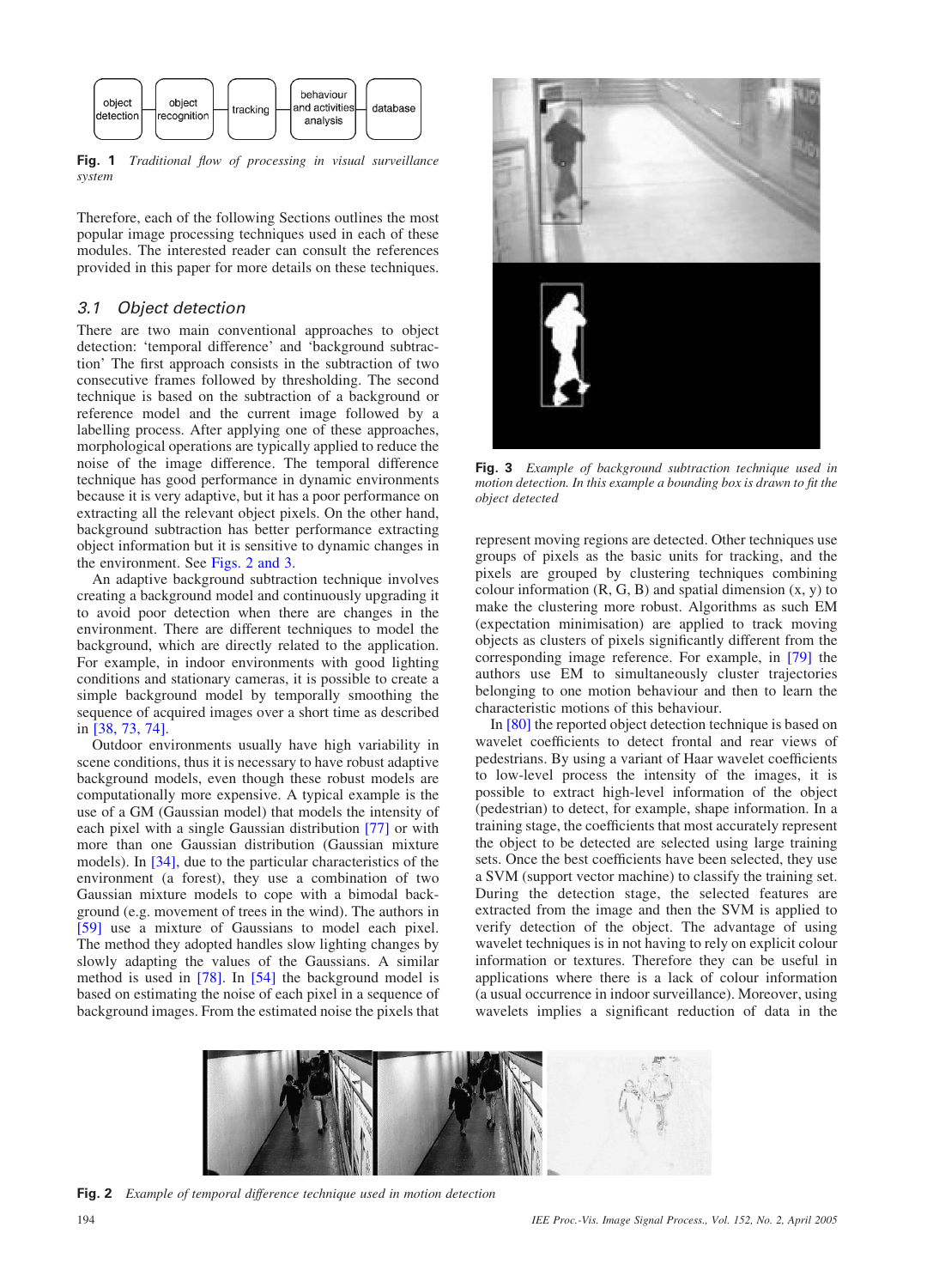

Fig. 1 Traditional flow of processing in visual surveillance system

Therefore, each of the following Sections outlines the most popular image processing techniques used in each of these modules. The interested reader can consult the references provided in this paper for more details on these techniques.

## 3.1 Object detection

There are two main conventional approaches to object detection: 'temporal difference' and 'background subtraction' The first approach consists in the subtraction of two consecutive frames followed by thresholding. The second technique is based on the subtraction of a background or reference model and the current image followed by a labelling process. After applying one of these approaches, morphological operations are typically applied to reduce the noise of the image difference. The temporal difference technique has good performance in dynamic environments because it is very adaptive, but it has a poor performance on extracting all the relevant object pixels. On the other hand, background subtraction has better performance extracting object information but it is sensitive to dynamic changes in the environment. See Figs. 2 and 3.

An adaptive background subtraction technique involves creating a background model and continuously upgrading it to avoid poor detection when there are changes in the environment. There are different techniques to model the background, which are directly related to the application. For example, in indoor environments with good lighting conditions and stationary cameras, it is possible to create a simple background model by temporally smoothing the sequence of acquired images over a short time as described in [38, 73, 74].

Outdoor environments usually have high variability in scene conditions, thus it is necessary to have robust adaptive background models, even though these robust models are computationally more expensive. A typical example is the use of a GM (Gaussian model) that models the intensity of each pixel with a single Gaussian distribution [77] or with more than one Gaussian distribution (Gaussian mixture models). In [34], due to the particular characteristics of the environment (a forest), they use a combination of two Gaussian mixture models to cope with a bimodal background (e.g. movement of trees in the wind). The authors in [59] use a mixture of Gaussians to model each pixel. The method they adopted handles slow lighting changes by slowly adapting the values of the Gaussians. A similar method is used in [78]. In [54] the background model is based on estimating the noise of each pixel in a sequence of background images. From the estimated noise the pixels that



Fig. 3 Example of background subtraction technique used in motion detection. In this example a bounding box is drawn to fit the object detected

represent moving regions are detected. Other techniques use groups of pixels as the basic units for tracking, and the pixels are grouped by clustering techniques combining colour information  $(R, G, B)$  and spatial dimension  $(x, y)$  to make the clustering more robust. Algorithms as such EM (expectation minimisation) are applied to track moving objects as clusters of pixels significantly different from the corresponding image reference. For example, in [79] the authors use EM to simultaneously cluster trajectories belonging to one motion behaviour and then to learn the characteristic motions of this behaviour.

In [80] the reported object detection technique is based on wavelet coefficients to detect frontal and rear views of pedestrians. By using a variant of Haar wavelet coefficients to low-level process the intensity of the images, it is possible to extract high-level information of the object (pedestrian) to detect, for example, shape information. In a training stage, the coefficients that most accurately represent the object to be detected are selected using large training sets. Once the best coefficients have been selected, they use a SVM (support vector machine) to classify the training set. During the detection stage, the selected features are extracted from the image and then the SVM is applied to verify detection of the object. The advantage of using wavelet techniques is in not having to rely on explicit colour information or textures. Therefore they can be useful in applications where there is a lack of colour information (a usual occurrence in indoor surveillance). Moreover, using wavelets implies a significant reduction of data in the



Fig. 2 Example of temporal difference technique used in motion detection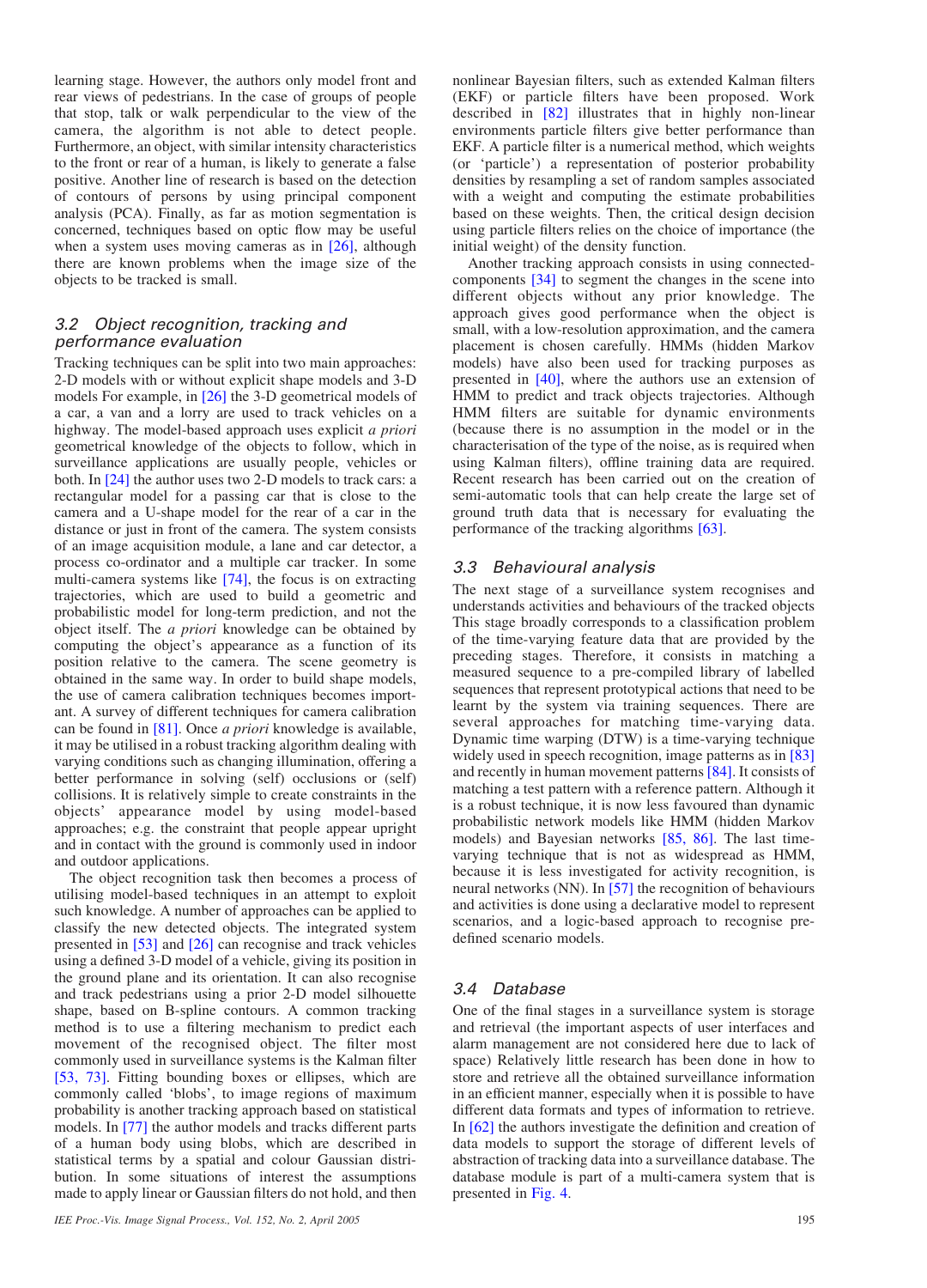learning stage. However, the authors only model front and rear views of pedestrians. In the case of groups of people that stop, talk or walk perpendicular to the view of the camera, the algorithm is not able to detect people. Furthermore, an object, with similar intensity characteristics to the front or rear of a human, is likely to generate a false positive. Another line of research is based on the detection of contours of persons by using principal component analysis (PCA). Finally, as far as motion segmentation is concerned, techniques based on optic flow may be useful when a system uses moving cameras as in [26], although there are known problems when the image size of the objects to be tracked is small.

## 3.2 Object recognition, tracking and performance evaluation

Tracking techniques can be split into two main approaches: 2-D models with or without explicit shape models and 3-D models For example, in [26] the 3-D geometrical models of a car, a van and a lorry are used to track vehicles on a highway. The model-based approach uses explicit a priori geometrical knowledge of the objects to follow, which in surveillance applications are usually people, vehicles or both. In [24] the author uses two 2-D models to track cars: a rectangular model for a passing car that is close to the camera and a U-shape model for the rear of a car in the distance or just in front of the camera. The system consists of an image acquisition module, a lane and car detector, a process co-ordinator and a multiple car tracker. In some multi-camera systems like [74], the focus is on extracting trajectories, which are used to build a geometric and probabilistic model for long-term prediction, and not the object itself. The a priori knowledge can be obtained by computing the object's appearance as a function of its position relative to the camera. The scene geometry is obtained in the same way. In order to build shape models, the use of camera calibration techniques becomes important. A survey of different techniques for camera calibration can be found in [81]. Once a priori knowledge is available, it may be utilised in a robust tracking algorithm dealing with varying conditions such as changing illumination, offering a better performance in solving (self) occlusions or (self) collisions. It is relatively simple to create constraints in the objects' appearance model by using model-based approaches; e.g. the constraint that people appear upright and in contact with the ground is commonly used in indoor and outdoor applications.

The object recognition task then becomes a process of utilising model-based techniques in an attempt to exploit such knowledge. A number of approaches can be applied to classify the new detected objects. The integrated system presented in [53] and [26] can recognise and track vehicles using a defined 3-D model of a vehicle, giving its position in the ground plane and its orientation. It can also recognise and track pedestrians using a prior 2-D model silhouette shape, based on B-spline contours. A common tracking method is to use a filtering mechanism to predict each movement of the recognised object. The filter most commonly used in surveillance systems is the Kalman filter [53, 73]. Fitting bounding boxes or ellipses, which are commonly called 'blobs', to image regions of maximum probability is another tracking approach based on statistical models. In [77] the author models and tracks different parts of a human body using blobs, which are described in statistical terms by a spatial and colour Gaussian distribution. In some situations of interest the assumptions made to apply linear or Gaussian filters do not hold, and then

nonlinear Bayesian filters, such as extended Kalman filters (EKF) or particle filters have been proposed. Work described in [82] illustrates that in highly non-linear environments particle filters give better performance than EKF. A particle filter is a numerical method, which weights (or 'particle') a representation of posterior probability densities by resampling a set of random samples associated with a weight and computing the estimate probabilities based on these weights. Then, the critical design decision using particle filters relies on the choice of importance (the initial weight) of the density function.

Another tracking approach consists in using connectedcomponents [34] to segment the changes in the scene into different objects without any prior knowledge. The approach gives good performance when the object is small, with a low-resolution approximation, and the camera placement is chosen carefully. HMMs (hidden Markov models) have also been used for tracking purposes as presented in [40], where the authors use an extension of HMM to predict and track objects trajectories. Although HMM filters are suitable for dynamic environments (because there is no assumption in the model or in the characterisation of the type of the noise, as is required when using Kalman filters), offline training data are required. Recent research has been carried out on the creation of semi-automatic tools that can help create the large set of ground truth data that is necessary for evaluating the performance of the tracking algorithms [63].

## 3.3 Behavioural analysis

The next stage of a surveillance system recognises and understands activities and behaviours of the tracked objects This stage broadly corresponds to a classification problem of the time-varying feature data that are provided by the preceding stages. Therefore, it consists in matching a measured sequence to a pre-compiled library of labelled sequences that represent prototypical actions that need to be learnt by the system via training sequences. There are several approaches for matching time-varying data. Dynamic time warping (DTW) is a time-varying technique widely used in speech recognition, image patterns as in [83] and recently in human movement patterns [84]. It consists of matching a test pattern with a reference pattern. Although it is a robust technique, it is now less favoured than dynamic probabilistic network models like HMM (hidden Markov models) and Bayesian networks [85, 86]. The last timevarying technique that is not as widespread as HMM, because it is less investigated for activity recognition, is neural networks (NN). In [57] the recognition of behaviours and activities is done using a declarative model to represent scenarios, and a logic-based approach to recognise predefined scenario models.

## 3.4 Database

One of the final stages in a surveillance system is storage and retrieval (the important aspects of user interfaces and alarm management are not considered here due to lack of space) Relatively little research has been done in how to store and retrieve all the obtained surveillance information in an efficient manner, especially when it is possible to have different data formats and types of information to retrieve. In [62] the authors investigate the definition and creation of data models to support the storage of different levels of abstraction of tracking data into a surveillance database. The database module is part of a multi-camera system that is presented in Fig. 4.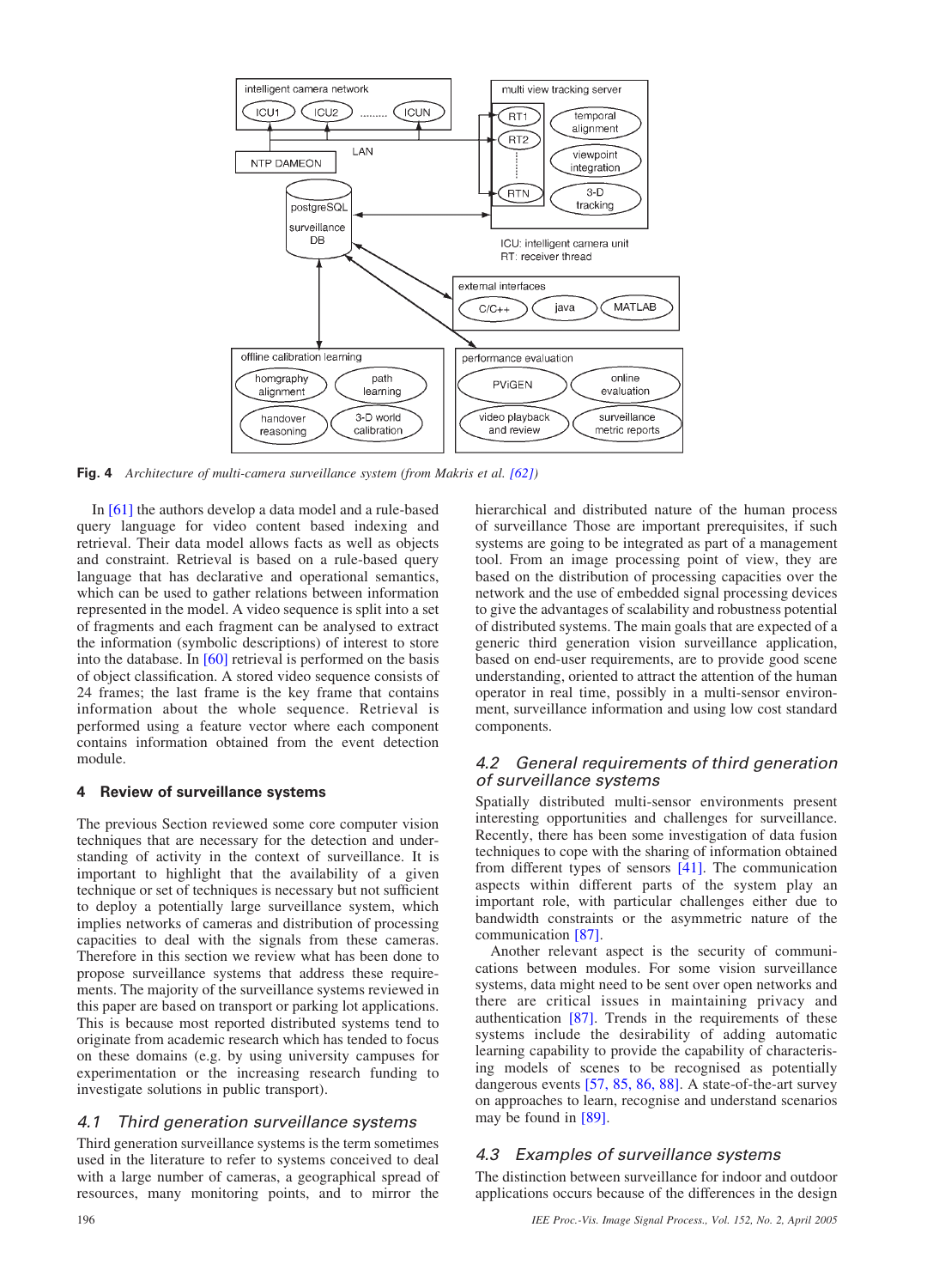

Fig. 4 Architecture of multi-camera surveillance system (from Makris et al. [62])

In [61] the authors develop a data model and a rule-based query language for video content based indexing and retrieval. Their data model allows facts as well as objects and constraint. Retrieval is based on a rule-based query language that has declarative and operational semantics, which can be used to gather relations between information represented in the model. A video sequence is split into a set of fragments and each fragment can be analysed to extract the information (symbolic descriptions) of interest to store into the database. In [60] retrieval is performed on the basis of object classification. A stored video sequence consists of 24 frames; the last frame is the key frame that contains information about the whole sequence. Retrieval is performed using a feature vector where each component contains information obtained from the event detection module.

## 4 Review of surveillance systems

The previous Section reviewed some core computer vision techniques that are necessary for the detection and understanding of activity in the context of surveillance. It is important to highlight that the availability of a given technique or set of techniques is necessary but not sufficient to deploy a potentially large surveillance system, which implies networks of cameras and distribution of processing capacities to deal with the signals from these cameras. Therefore in this section we review what has been done to propose surveillance systems that address these requirements. The majority of the surveillance systems reviewed in this paper are based on transport or parking lot applications. This is because most reported distributed systems tend to originate from academic research which has tended to focus on these domains (e.g. by using university campuses for experimentation or the increasing research funding to investigate solutions in public transport).

## 4.1 Third generation surveillance systems

Third generation surveillance systems is the term sometimes used in the literature to refer to systems conceived to deal with a large number of cameras, a geographical spread of resources, many monitoring points, and to mirror the

hierarchical and distributed nature of the human process of surveillance Those are important prerequisites, if such systems are going to be integrated as part of a management tool. From an image processing point of view, they are based on the distribution of processing capacities over the network and the use of embedded signal processing devices to give the advantages of scalability and robustness potential of distributed systems. The main goals that are expected of a generic third generation vision surveillance application, based on end-user requirements, are to provide good scene understanding, oriented to attract the attention of the human operator in real time, possibly in a multi-sensor environment, surveillance information and using low cost standard components.

# 4.2 General requirements of third generation of surveillance systems

Spatially distributed multi-sensor environments present interesting opportunities and challenges for surveillance. Recently, there has been some investigation of data fusion techniques to cope with the sharing of information obtained from different types of sensors [41]. The communication aspects within different parts of the system play an important role, with particular challenges either due to bandwidth constraints or the asymmetric nature of the communication [87].

Another relevant aspect is the security of communications between modules. For some vision surveillance systems, data might need to be sent over open networks and there are critical issues in maintaining privacy and authentication [87]. Trends in the requirements of these systems include the desirability of adding automatic learning capability to provide the capability of characterising models of scenes to be recognised as potentially dangerous events [57, 85, 86, 88]. A state-of-the-art survey on approaches to learn, recognise and understand scenarios may be found in [89].

## 4.3 Examples of surveillance systems

The distinction between surveillance for indoor and outdoor applications occurs because of the differences in the design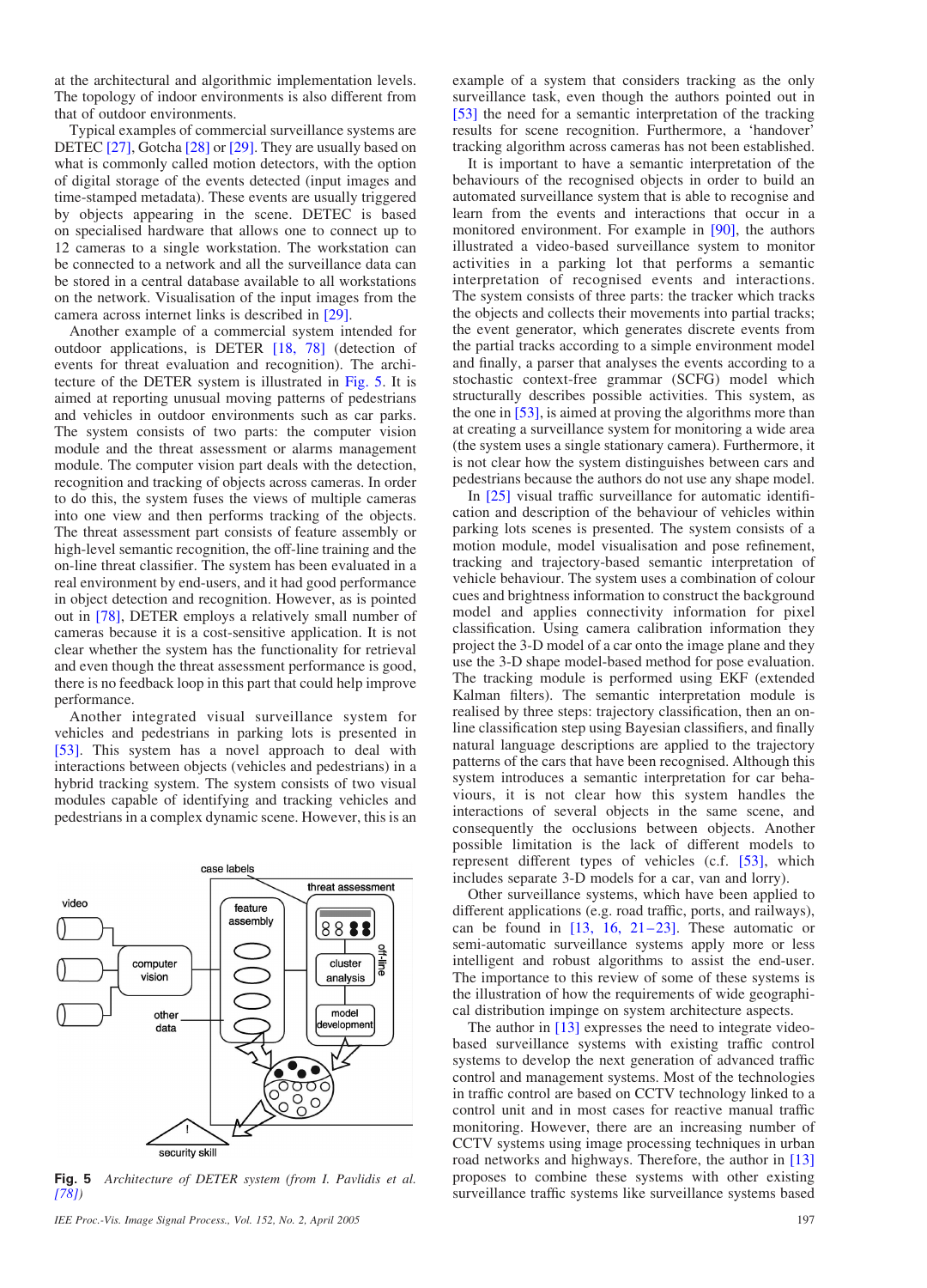at the architectural and algorithmic implementation levels. The topology of indoor environments is also different from that of outdoor environments.

Typical examples of commercial surveillance systems are DETEC [27], Gotcha [28] or [29]. They are usually based on what is commonly called motion detectors, with the option of digital storage of the events detected (input images and time-stamped metadata). These events are usually triggered by objects appearing in the scene. DETEC is based on specialised hardware that allows one to connect up to 12 cameras to a single workstation. The workstation can be connected to a network and all the surveillance data can be stored in a central database available to all workstations on the network. Visualisation of the input images from the camera across internet links is described in [29].

Another example of a commercial system intended for outdoor applications, is DETER [18, 78] (detection of events for threat evaluation and recognition). The architecture of the DETER system is illustrated in Fig. 5. It is aimed at reporting unusual moving patterns of pedestrians and vehicles in outdoor environments such as car parks. The system consists of two parts: the computer vision module and the threat assessment or alarms management module. The computer vision part deals with the detection, recognition and tracking of objects across cameras. In order to do this, the system fuses the views of multiple cameras into one view and then performs tracking of the objects. The threat assessment part consists of feature assembly or high-level semantic recognition, the off-line training and the on-line threat classifier. The system has been evaluated in a real environment by end-users, and it had good performance in object detection and recognition. However, as is pointed out in [78], DETER employs a relatively small number of cameras because it is a cost-sensitive application. It is not clear whether the system has the functionality for retrieval and even though the threat assessment performance is good, there is no feedback loop in this part that could help improve performance.

Another integrated visual surveillance system for vehicles and pedestrians in parking lots is presented in [53]. This system has a novel approach to deal with interactions between objects (vehicles and pedestrians) in a hybrid tracking system. The system consists of two visual modules capable of identifying and tracking vehicles and pedestrians in a complex dynamic scene. However, this is an



Fig. 5 Architecture of DETER system (from I. Pavlidis et al. [78])

example of a system that considers tracking as the only surveillance task, even though the authors pointed out in [53] the need for a semantic interpretation of the tracking results for scene recognition. Furthermore, a 'handover' tracking algorithm across cameras has not been established.

It is important to have a semantic interpretation of the behaviours of the recognised objects in order to build an automated surveillance system that is able to recognise and learn from the events and interactions that occur in a monitored environment. For example in [90], the authors illustrated a video-based surveillance system to monitor activities in a parking lot that performs a semantic interpretation of recognised events and interactions. The system consists of three parts: the tracker which tracks the objects and collects their movements into partial tracks; the event generator, which generates discrete events from the partial tracks according to a simple environment model and finally, a parser that analyses the events according to a stochastic context-free grammar (SCFG) model which structurally describes possible activities. This system, as the one in [53], is aimed at proving the algorithms more than at creating a surveillance system for monitoring a wide area (the system uses a single stationary camera). Furthermore, it is not clear how the system distinguishes between cars and pedestrians because the authors do not use any shape model.

In [25] visual traffic surveillance for automatic identification and description of the behaviour of vehicles within parking lots scenes is presented. The system consists of a motion module, model visualisation and pose refinement, tracking and trajectory-based semantic interpretation of vehicle behaviour. The system uses a combination of colour cues and brightness information to construct the background model and applies connectivity information for pixel classification. Using camera calibration information they project the 3-D model of a car onto the image plane and they use the 3-D shape model-based method for pose evaluation. The tracking module is performed using EKF (extended Kalman filters). The semantic interpretation module is realised by three steps: trajectory classification, then an online classification step using Bayesian classifiers, and finally natural language descriptions are applied to the trajectory patterns of the cars that have been recognised. Although this system introduces a semantic interpretation for car behaviours, it is not clear how this system handles the interactions of several objects in the same scene, and consequently the occlusions between objects. Another possible limitation is the lack of different models to represent different types of vehicles (c.f. [53], which includes separate 3-D models for a car, van and lorry).

Other surveillance systems, which have been applied to different applications (e.g. road traffic, ports, and railways), can be found in  $[13, 16, 21-23]$ . These automatic or semi-automatic surveillance systems apply more or less intelligent and robust algorithms to assist the end-user. The importance to this review of some of these systems is the illustration of how the requirements of wide geographical distribution impinge on system architecture aspects.

The author in [13] expresses the need to integrate videobased surveillance systems with existing traffic control systems to develop the next generation of advanced traffic control and management systems. Most of the technologies in traffic control are based on CCTV technology linked to a control unit and in most cases for reactive manual traffic monitoring. However, there are an increasing number of CCTV systems using image processing techniques in urban road networks and highways. Therefore, the author in [13] proposes to combine these systems with other existing surveillance traffic systems like surveillance systems based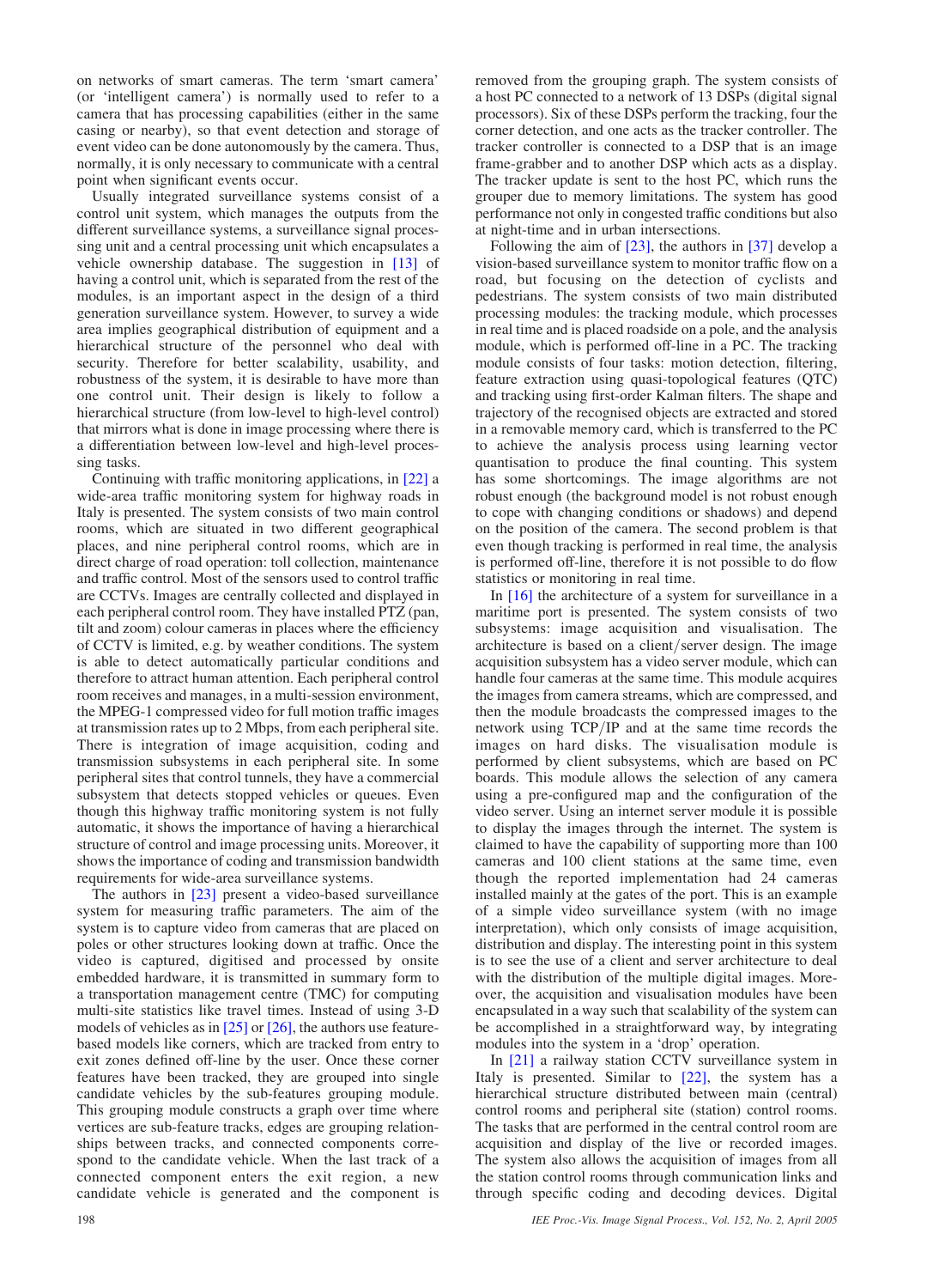on networks of smart cameras. The term 'smart camera' (or 'intelligent camera') is normally used to refer to a camera that has processing capabilities (either in the same casing or nearby), so that event detection and storage of event video can be done autonomously by the camera. Thus, normally, it is only necessary to communicate with a central point when significant events occur.

Usually integrated surveillance systems consist of a control unit system, which manages the outputs from the different surveillance systems, a surveillance signal processing unit and a central processing unit which encapsulates a vehicle ownership database. The suggestion in [13] of having a control unit, which is separated from the rest of the modules, is an important aspect in the design of a third generation surveillance system. However, to survey a wide area implies geographical distribution of equipment and a hierarchical structure of the personnel who deal with security. Therefore for better scalability, usability, and robustness of the system, it is desirable to have more than one control unit. Their design is likely to follow a hierarchical structure (from low-level to high-level control) that mirrors what is done in image processing where there is a differentiation between low-level and high-level processing tasks.

Continuing with traffic monitoring applications, in [22] a wide-area traffic monitoring system for highway roads in Italy is presented. The system consists of two main control rooms, which are situated in two different geographical places, and nine peripheral control rooms, which are in direct charge of road operation: toll collection, maintenance and traffic control. Most of the sensors used to control traffic are CCTVs. Images are centrally collected and displayed in each peripheral control room. They have installed PTZ (pan, tilt and zoom) colour cameras in places where the efficiency of CCTV is limited, e.g. by weather conditions. The system is able to detect automatically particular conditions and therefore to attract human attention. Each peripheral control room receives and manages, in a multi-session environment, the MPEG-1 compressed video for full motion traffic images at transmission rates up to 2 Mbps, from each peripheral site. There is integration of image acquisition, coding and transmission subsystems in each peripheral site. In some peripheral sites that control tunnels, they have a commercial subsystem that detects stopped vehicles or queues. Even though this highway traffic monitoring system is not fully automatic, it shows the importance of having a hierarchical structure of control and image processing units. Moreover, it shows the importance of coding and transmission bandwidth requirements for wide-area surveillance systems.

The authors in [23] present a video-based surveillance system for measuring traffic parameters. The aim of the system is to capture video from cameras that are placed on poles or other structures looking down at traffic. Once the video is captured, digitised and processed by onsite embedded hardware, it is transmitted in summary form to a transportation management centre (TMC) for computing multi-site statistics like travel times. Instead of using 3-D models of vehicles as in [25] or [26], the authors use featurebased models like corners, which are tracked from entry to exit zones defined off-line by the user. Once these corner features have been tracked, they are grouped into single candidate vehicles by the sub-features grouping module. This grouping module constructs a graph over time where vertices are sub-feature tracks, edges are grouping relationships between tracks, and connected components correspond to the candidate vehicle. When the last track of a connected component enters the exit region, a new candidate vehicle is generated and the component is removed from the grouping graph. The system consists of a host PC connected to a network of 13 DSPs (digital signal processors). Six of these DSPs perform the tracking, four the corner detection, and one acts as the tracker controller. The tracker controller is connected to a DSP that is an image frame-grabber and to another DSP which acts as a display. The tracker update is sent to the host PC, which runs the grouper due to memory limitations. The system has good performance not only in congested traffic conditions but also at night-time and in urban intersections.

Following the aim of [23], the authors in [37] develop a vision-based surveillance system to monitor traffic flow on a road, but focusing on the detection of cyclists and pedestrians. The system consists of two main distributed processing modules: the tracking module, which processes in real time and is placed roadside on a pole, and the analysis module, which is performed off-line in a PC. The tracking module consists of four tasks: motion detection, filtering, feature extraction using quasi-topological features (QTC) and tracking using first-order Kalman filters. The shape and trajectory of the recognised objects are extracted and stored in a removable memory card, which is transferred to the PC to achieve the analysis process using learning vector quantisation to produce the final counting. This system has some shortcomings. The image algorithms are not robust enough (the background model is not robust enough to cope with changing conditions or shadows) and depend on the position of the camera. The second problem is that even though tracking is performed in real time, the analysis is performed off-line, therefore it is not possible to do flow statistics or monitoring in real time.

In [16] the architecture of a system for surveillance in a maritime port is presented. The system consists of two subsystems: image acquisition and visualisation. The architecture is based on a client/server design. The image acquisition subsystem has a video server module, which can handle four cameras at the same time. This module acquires the images from camera streams, which are compressed, and then the module broadcasts the compressed images to the network using  $TCP/IP$  and at the same time records the images on hard disks. The visualisation module is performed by client subsystems, which are based on PC boards. This module allows the selection of any camera using a pre-configured map and the configuration of the video server. Using an internet server module it is possible to display the images through the internet. The system is claimed to have the capability of supporting more than 100 cameras and 100 client stations at the same time, even though the reported implementation had 24 cameras installed mainly at the gates of the port. This is an example of a simple video surveillance system (with no image interpretation), which only consists of image acquisition, distribution and display. The interesting point in this system is to see the use of a client and server architecture to deal with the distribution of the multiple digital images. Moreover, the acquisition and visualisation modules have been encapsulated in a way such that scalability of the system can be accomplished in a straightforward way, by integrating modules into the system in a 'drop' operation.

In [21] a railway station CCTV surveillance system in Italy is presented. Similar to  $[22]$ , the system has a hierarchical structure distributed between main (central) control rooms and peripheral site (station) control rooms. The tasks that are performed in the central control room are acquisition and display of the live or recorded images. The system also allows the acquisition of images from all the station control rooms through communication links and through specific coding and decoding devices. Digital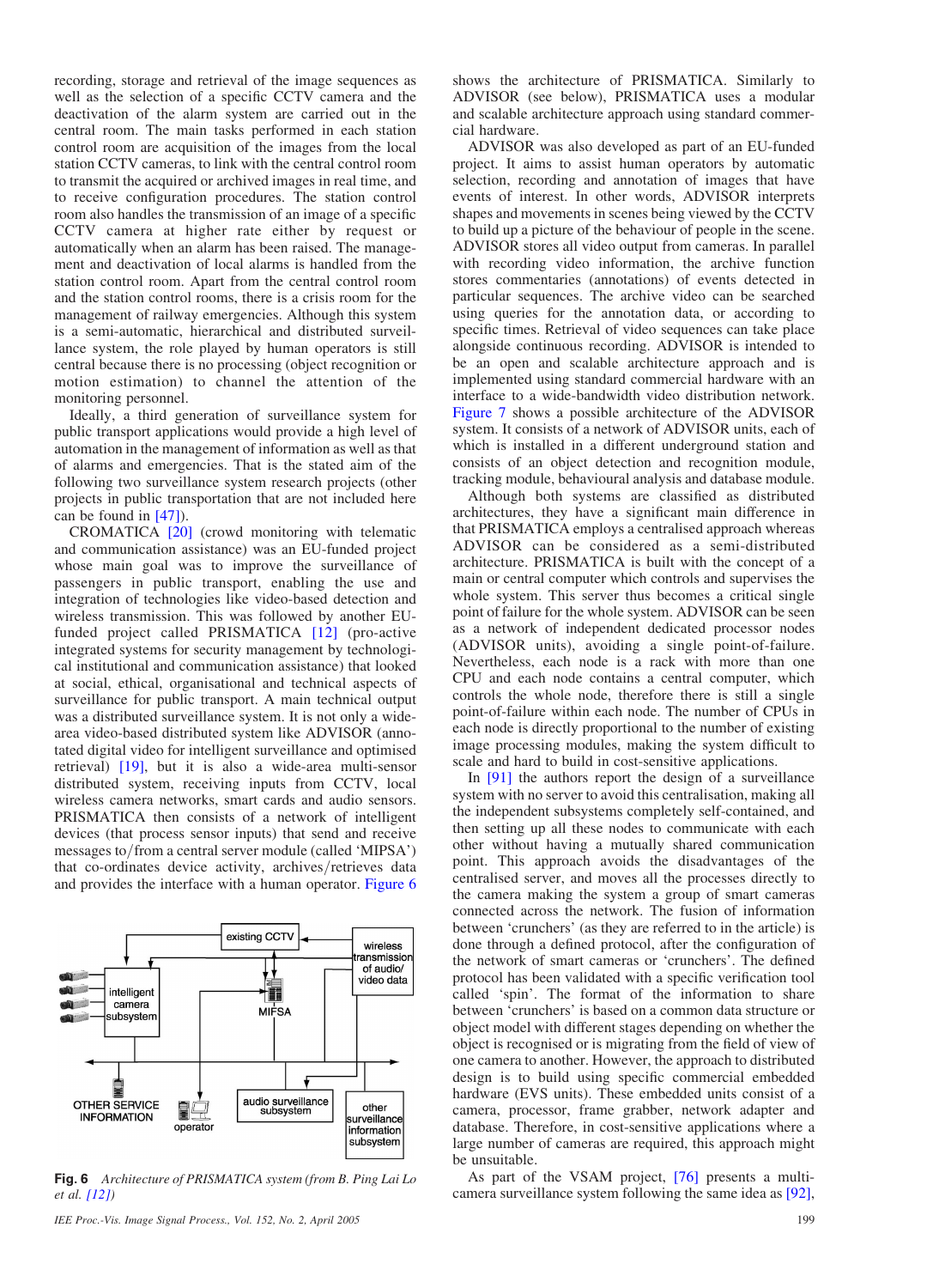recording, storage and retrieval of the image sequences as well as the selection of a specific CCTV camera and the deactivation of the alarm system are carried out in the central room. The main tasks performed in each station control room are acquisition of the images from the local station CCTV cameras, to link with the central control room to transmit the acquired or archived images in real time, and to receive configuration procedures. The station control room also handles the transmission of an image of a specific CCTV camera at higher rate either by request or automatically when an alarm has been raised. The management and deactivation of local alarms is handled from the station control room. Apart from the central control room and the station control rooms, there is a crisis room for the management of railway emergencies. Although this system is a semi-automatic, hierarchical and distributed surveillance system, the role played by human operators is still central because there is no processing (object recognition or motion estimation) to channel the attention of the monitoring personnel.

Ideally, a third generation of surveillance system for public transport applications would provide a high level of automation in the management of information as well as that of alarms and emergencies. That is the stated aim of the following two surveillance system research projects (other projects in public transportation that are not included here can be found in  $[47]$ ).

CROMATICA [20] (crowd monitoring with telematic and communication assistance) was an EU-funded project whose main goal was to improve the surveillance of passengers in public transport, enabling the use and integration of technologies like video-based detection and wireless transmission. This was followed by another EUfunded project called PRISMATICA [12] (pro-active integrated systems for security management by technological institutional and communication assistance) that looked at social, ethical, organisational and technical aspects of surveillance for public transport. A main technical output was a distributed surveillance system. It is not only a widearea video-based distributed system like ADVISOR (annotated digital video for intelligent surveillance and optimised retrieval) [19], but it is also a wide-area multi-sensor distributed system, receiving inputs from CCTV, local wireless camera networks, smart cards and audio sensors. PRISMATICA then consists of a network of intelligent devices (that process sensor inputs) that send and receive messages to/from a central server module (called 'MIPSA') that co-ordinates device activity, archives/retrieves data and provides the interface with a human operator. Figure 6



et al. [12])

shows the architecture of PRISMATICA. Similarly to ADVISOR (see below), PRISMATICA uses a modular and scalable architecture approach using standard commercial hardware.

ADVISOR was also developed as part of an EU-funded project. It aims to assist human operators by automatic selection, recording and annotation of images that have events of interest. In other words, ADVISOR interprets shapes and movements in scenes being viewed by the CCTV to build up a picture of the behaviour of people in the scene. ADVISOR stores all video output from cameras. In parallel with recording video information, the archive function stores commentaries (annotations) of events detected in particular sequences. The archive video can be searched using queries for the annotation data, or according to specific times. Retrieval of video sequences can take place alongside continuous recording. ADVISOR is intended to be an open and scalable architecture approach and is implemented using standard commercial hardware with an interface to a wide-bandwidth video distribution network. Figure 7 shows a possible architecture of the ADVISOR system. It consists of a network of ADVISOR units, each of which is installed in a different underground station and consists of an object detection and recognition module, tracking module, behavioural analysis and database module.

Although both systems are classified as distributed architectures, they have a significant main difference in that PRISMATICA employs a centralised approach whereas ADVISOR can be considered as a semi-distributed architecture. PRISMATICA is built with the concept of a main or central computer which controls and supervises the whole system. This server thus becomes a critical single point of failure for the whole system. ADVISOR can be seen as a network of independent dedicated processor nodes (ADVISOR units), avoiding a single point-of-failure. Nevertheless, each node is a rack with more than one CPU and each node contains a central computer, which controls the whole node, therefore there is still a single point-of-failure within each node. The number of CPUs in each node is directly proportional to the number of existing image processing modules, making the system difficult to scale and hard to build in cost-sensitive applications.

In [91] the authors report the design of a surveillance system with no server to avoid this centralisation, making all the independent subsystems completely self-contained, and then setting up all these nodes to communicate with each other without having a mutually shared communication point. This approach avoids the disadvantages of the centralised server, and moves all the processes directly to the camera making the system a group of smart cameras connected across the network. The fusion of information between 'crunchers' (as they are referred to in the article) is done through a defined protocol, after the configuration of the network of smart cameras or 'crunchers'. The defined protocol has been validated with a specific verification tool called 'spin'. The format of the information to share between 'crunchers' is based on a common data structure or object model with different stages depending on whether the object is recognised or is migrating from the field of view of one camera to another. However, the approach to distributed design is to build using specific commercial embedded hardware (EVS units). These embedded units consist of a camera, processor, frame grabber, network adapter and database. Therefore, in cost-sensitive applications where a large number of cameras are required, this approach might be unsuitable.

As part of the VSAM project, [76] presents a multi-Fig. 6 Architecture of PRISMATICA system (from B. Ping Lai Lo As part of the VSAM project, [76] presents a multi-<br>camera surveillance system following the same idea as [92],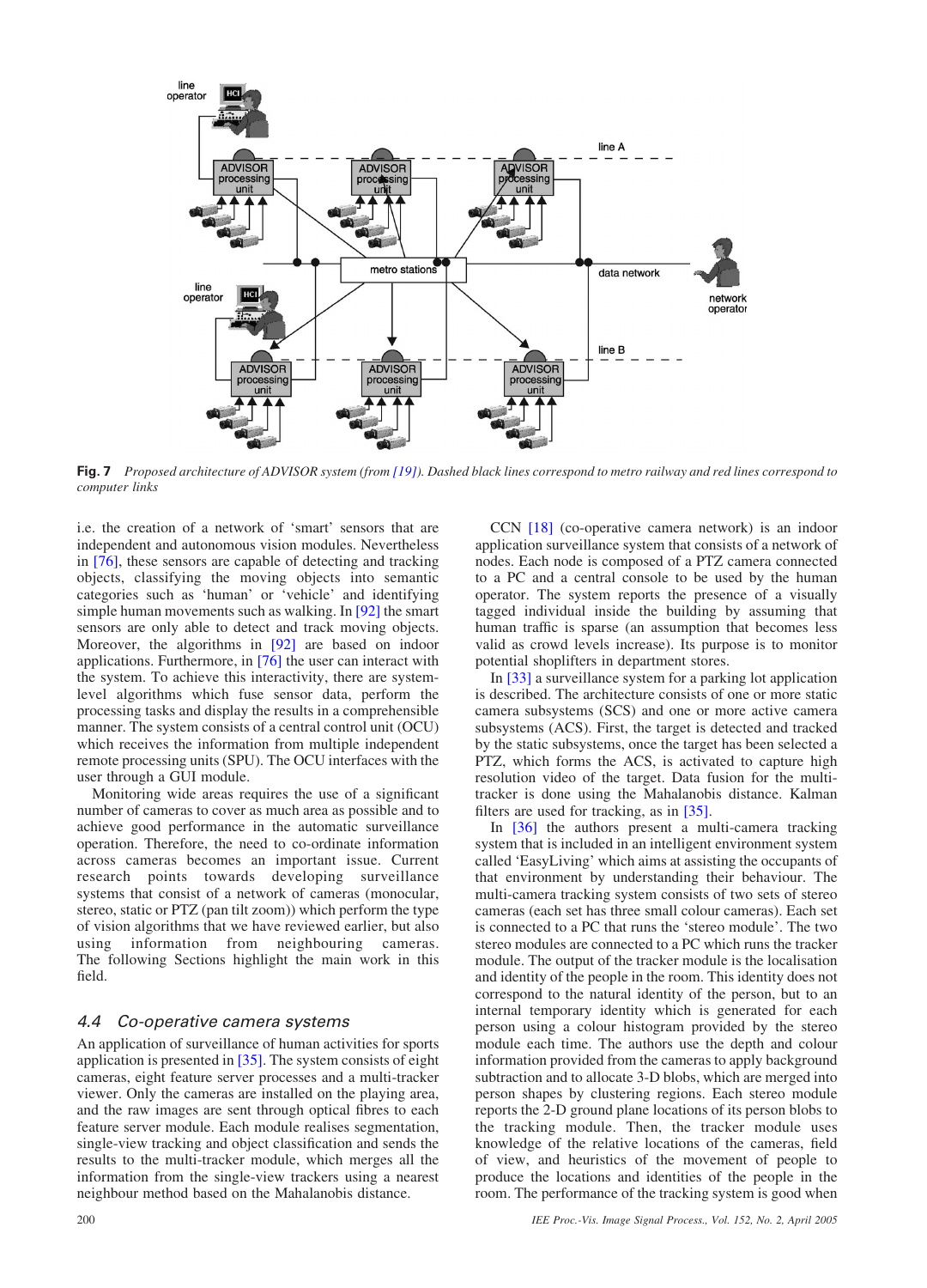

Fig. 7 Proposed architecture of ADVISOR system (from [19]). Dashed black lines correspond to metro railway and red lines correspond to computer links

i.e. the creation of a network of 'smart' sensors that are independent and autonomous vision modules. Nevertheless in [76], these sensors are capable of detecting and tracking objects, classifying the moving objects into semantic categories such as 'human' or 'vehicle' and identifying simple human movements such as walking. In [92] the smart sensors are only able to detect and track moving objects. Moreover, the algorithms in [92] are based on indoor applications. Furthermore, in [76] the user can interact with the system. To achieve this interactivity, there are systemlevel algorithms which fuse sensor data, perform the processing tasks and display the results in a comprehensible manner. The system consists of a central control unit (OCU) which receives the information from multiple independent remote processing units (SPU). The OCU interfaces with the user through a GUI module.

Monitoring wide areas requires the use of a significant number of cameras to cover as much area as possible and to achieve good performance in the automatic surveillance operation. Therefore, the need to co-ordinate information across cameras becomes an important issue. Current research points towards developing surveillance systems that consist of a network of cameras (monocular, stereo, static or PTZ (pan tilt zoom)) which perform the type of vision algorithms that we have reviewed earlier, but also using information from neighbouring cameras. The following Sections highlight the main work in this field.

## 4.4 Co-operative camera systems

An application of surveillance of human activities for sports application is presented in [35]. The system consists of eight cameras, eight feature server processes and a multi-tracker viewer. Only the cameras are installed on the playing area, and the raw images are sent through optical fibres to each feature server module. Each module realises segmentation, single-view tracking and object classification and sends the results to the multi-tracker module, which merges all the information from the single-view trackers using a nearest neighbour method based on the Mahalanobis distance.

CCN [18] (co-operative camera network) is an indoor application surveillance system that consists of a network of nodes. Each node is composed of a PTZ camera connected to a PC and a central console to be used by the human operator. The system reports the presence of a visually tagged individual inside the building by assuming that human traffic is sparse (an assumption that becomes less valid as crowd levels increase). Its purpose is to monitor potential shoplifters in department stores.

In [33] a surveillance system for a parking lot application is described. The architecture consists of one or more static camera subsystems (SCS) and one or more active camera subsystems (ACS). First, the target is detected and tracked by the static subsystems, once the target has been selected a PTZ, which forms the ACS, is activated to capture high resolution video of the target. Data fusion for the multitracker is done using the Mahalanobis distance. Kalman filters are used for tracking, as in [35].

In [36] the authors present a multi-camera tracking system that is included in an intelligent environment system called 'EasyLiving' which aims at assisting the occupants of that environment by understanding their behaviour. The multi-camera tracking system consists of two sets of stereo cameras (each set has three small colour cameras). Each set is connected to a PC that runs the 'stereo module'. The two stereo modules are connected to a PC which runs the tracker module. The output of the tracker module is the localisation and identity of the people in the room. This identity does not correspond to the natural identity of the person, but to an internal temporary identity which is generated for each person using a colour histogram provided by the stereo module each time. The authors use the depth and colour information provided from the cameras to apply background subtraction and to allocate 3-D blobs, which are merged into person shapes by clustering regions. Each stereo module reports the 2-D ground plane locations of its person blobs to the tracking module. Then, the tracker module uses knowledge of the relative locations of the cameras, field of view, and heuristics of the movement of people to produce the locations and identities of the people in the room. The performance of the tracking system is good when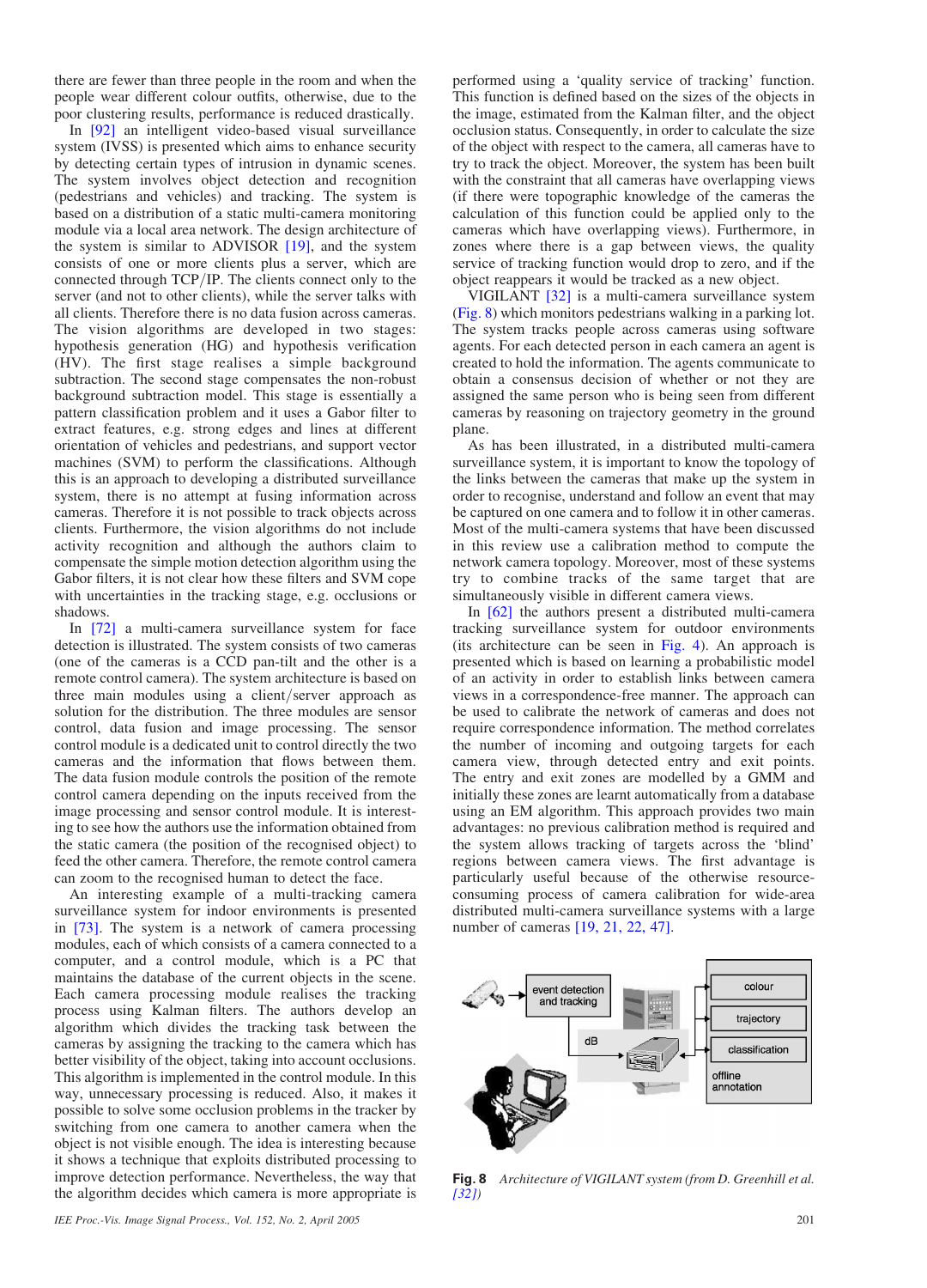there are fewer than three people in the room and when the people wear different colour outfits, otherwise, due to the poor clustering results, performance is reduced drastically.

In [92] an intelligent video-based visual surveillance system (IVSS) is presented which aims to enhance security by detecting certain types of intrusion in dynamic scenes. The system involves object detection and recognition (pedestrians and vehicles) and tracking. The system is based on a distribution of a static multi-camera monitoring module via a local area network. The design architecture of the system is similar to ADVISOR [19], and the system consists of one or more clients plus a server, which are connected through  $TCP/IP$ . The clients connect only to the server (and not to other clients), while the server talks with all clients. Therefore there is no data fusion across cameras. The vision algorithms are developed in two stages: hypothesis generation (HG) and hypothesis verification (HV). The first stage realises a simple background subtraction. The second stage compensates the non-robust background subtraction model. This stage is essentially a pattern classification problem and it uses a Gabor filter to extract features, e.g. strong edges and lines at different orientation of vehicles and pedestrians, and support vector machines (SVM) to perform the classifications. Although this is an approach to developing a distributed surveillance system, there is no attempt at fusing information across cameras. Therefore it is not possible to track objects across clients. Furthermore, the vision algorithms do not include activity recognition and although the authors claim to compensate the simple motion detection algorithm using the Gabor filters, it is not clear how these filters and SVM cope with uncertainties in the tracking stage, e.g. occlusions or shadows.

In [72] a multi-camera surveillance system for face detection is illustrated. The system consists of two cameras (one of the cameras is a CCD pan-tilt and the other is a remote control camera). The system architecture is based on three main modules using a client/server approach as solution for the distribution. The three modules are sensor control, data fusion and image processing. The sensor control module is a dedicated unit to control directly the two cameras and the information that flows between them. The data fusion module controls the position of the remote control camera depending on the inputs received from the image processing and sensor control module. It is interesting to see how the authors use the information obtained from the static camera (the position of the recognised object) to feed the other camera. Therefore, the remote control camera can zoom to the recognised human to detect the face.

An interesting example of a multi-tracking camera surveillance system for indoor environments is presented in [73]. The system is a network of camera processing modules, each of which consists of a camera connected to a computer, and a control module, which is a PC that maintains the database of the current objects in the scene. Each camera processing module realises the tracking process using Kalman filters. The authors develop an algorithm which divides the tracking task between the cameras by assigning the tracking to the camera which has better visibility of the object, taking into account occlusions. This algorithm is implemented in the control module. In this way, unnecessary processing is reduced. Also, it makes it possible to solve some occlusion problems in the tracker by switching from one camera to another camera when the object is not visible enough. The idea is interesting because it shows a technique that exploits distributed processing to improve detection performance. Nevertheless, the way that the algorithm decides which camera is more appropriate is performed using a 'quality service of tracking' function. This function is defined based on the sizes of the objects in the image, estimated from the Kalman filter, and the object occlusion status. Consequently, in order to calculate the size of the object with respect to the camera, all cameras have to try to track the object. Moreover, the system has been built with the constraint that all cameras have overlapping views (if there were topographic knowledge of the cameras the calculation of this function could be applied only to the cameras which have overlapping views). Furthermore, in zones where there is a gap between views, the quality service of tracking function would drop to zero, and if the object reappears it would be tracked as a new object.

VIGILANT [32] is a multi-camera surveillance system (Fig. 8) which monitors pedestrians walking in a parking lot. The system tracks people across cameras using software agents. For each detected person in each camera an agent is created to hold the information. The agents communicate to obtain a consensus decision of whether or not they are assigned the same person who is being seen from different cameras by reasoning on trajectory geometry in the ground plane.

As has been illustrated, in a distributed multi-camera surveillance system, it is important to know the topology of the links between the cameras that make up the system in order to recognise, understand and follow an event that may be captured on one camera and to follow it in other cameras. Most of the multi-camera systems that have been discussed in this review use a calibration method to compute the network camera topology. Moreover, most of these systems try to combine tracks of the same target that are simultaneously visible in different camera views.

In [62] the authors present a distributed multi-camera tracking surveillance system for outdoor environments (its architecture can be seen in Fig. 4). An approach is presented which is based on learning a probabilistic model of an activity in order to establish links between camera views in a correspondence-free manner. The approach can be used to calibrate the network of cameras and does not require correspondence information. The method correlates the number of incoming and outgoing targets for each camera view, through detected entry and exit points. The entry and exit zones are modelled by a GMM and initially these zones are learnt automatically from a database using an EM algorithm. This approach provides two main advantages: no previous calibration method is required and the system allows tracking of targets across the 'blind' regions between camera views. The first advantage is particularly useful because of the otherwise resourceconsuming process of camera calibration for wide-area distributed multi-camera surveillance systems with a large number of cameras [19, 21, 22, 47].



Fig. 8 Architecture of VIGILANT system (from D. Greenhill et al.  $[32]$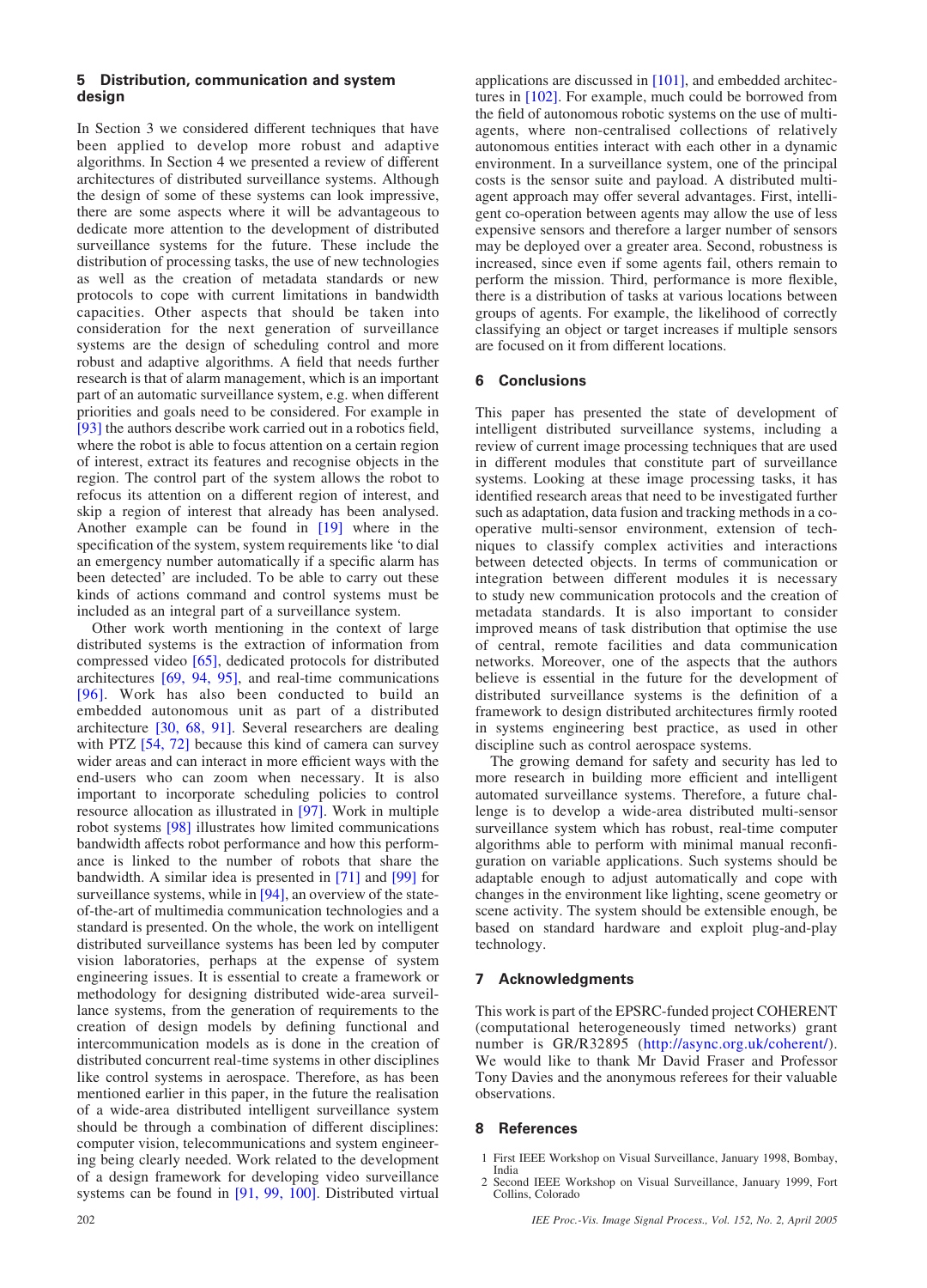## 5 Distribution, communication and system design

In Section 3 we considered different techniques that have been applied to develop more robust and adaptive algorithms. In Section 4 we presented a review of different architectures of distributed surveillance systems. Although the design of some of these systems can look impressive, there are some aspects where it will be advantageous to dedicate more attention to the development of distributed surveillance systems for the future. These include the distribution of processing tasks, the use of new technologies as well as the creation of metadata standards or new protocols to cope with current limitations in bandwidth capacities. Other aspects that should be taken into consideration for the next generation of surveillance systems are the design of scheduling control and more robust and adaptive algorithms. A field that needs further research is that of alarm management, which is an important part of an automatic surveillance system, e.g. when different priorities and goals need to be considered. For example in [93] the authors describe work carried out in a robotics field, where the robot is able to focus attention on a certain region of interest, extract its features and recognise objects in the region. The control part of the system allows the robot to refocus its attention on a different region of interest, and skip a region of interest that already has been analysed. Another example can be found in [19] where in the specification of the system, system requirements like 'to dial an emergency number automatically if a specific alarm has been detected' are included. To be able to carry out these kinds of actions command and control systems must be included as an integral part of a surveillance system.

Other work worth mentioning in the context of large distributed systems is the extraction of information from compressed video [65], dedicated protocols for distributed architectures [69, 94, 95], and real-time communications [96]. Work has also been conducted to build an embedded autonomous unit as part of a distributed architecture [30, 68, 91]. Several researchers are dealing with PTZ [54, 72] because this kind of camera can survey wider areas and can interact in more efficient ways with the end-users who can zoom when necessary. It is also important to incorporate scheduling policies to control resource allocation as illustrated in [97]. Work in multiple robot systems [98] illustrates how limited communications bandwidth affects robot performance and how this performance is linked to the number of robots that share the bandwidth. A similar idea is presented in [71] and [99] for surveillance systems, while in [94], an overview of the stateof-the-art of multimedia communication technologies and a standard is presented. On the whole, the work on intelligent distributed surveillance systems has been led by computer vision laboratories, perhaps at the expense of system engineering issues. It is essential to create a framework or methodology for designing distributed wide-area surveillance systems, from the generation of requirements to the creation of design models by defining functional and intercommunication models as is done in the creation of distributed concurrent real-time systems in other disciplines like control systems in aerospace. Therefore, as has been mentioned earlier in this paper, in the future the realisation of a wide-area distributed intelligent surveillance system should be through a combination of different disciplines: computer vision, telecommunications and system engineering being clearly needed. Work related to the development of a design framework for developing video surveillance systems can be found in [91, 99, 100]. Distributed virtual

applications are discussed in [101], and embedded architectures in [102]. For example, much could be borrowed from the field of autonomous robotic systems on the use of multiagents, where non-centralised collections of relatively autonomous entities interact with each other in a dynamic environment. In a surveillance system, one of the principal costs is the sensor suite and payload. A distributed multiagent approach may offer several advantages. First, intelligent co-operation between agents may allow the use of less expensive sensors and therefore a larger number of sensors may be deployed over a greater area. Second, robustness is increased, since even if some agents fail, others remain to perform the mission. Third, performance is more flexible, there is a distribution of tasks at various locations between groups of agents. For example, the likelihood of correctly classifying an object or target increases if multiple sensors are focused on it from different locations.

#### 6 Conclusions

This paper has presented the state of development of intelligent distributed surveillance systems, including a review of current image processing techniques that are used in different modules that constitute part of surveillance systems. Looking at these image processing tasks, it has identified research areas that need to be investigated further such as adaptation, data fusion and tracking methods in a cooperative multi-sensor environment, extension of techniques to classify complex activities and interactions between detected objects. In terms of communication or integration between different modules it is necessary to study new communication protocols and the creation of metadata standards. It is also important to consider improved means of task distribution that optimise the use of central, remote facilities and data communication networks. Moreover, one of the aspects that the authors believe is essential in the future for the development of distributed surveillance systems is the definition of a framework to design distributed architectures firmly rooted in systems engineering best practice, as used in other discipline such as control aerospace systems.

The growing demand for safety and security has led to more research in building more efficient and intelligent automated surveillance systems. Therefore, a future challenge is to develop a wide-area distributed multi-sensor surveillance system which has robust, real-time computer algorithms able to perform with minimal manual reconfiguration on variable applications. Such systems should be adaptable enough to adjust automatically and cope with changes in the environment like lighting, scene geometry or scene activity. The system should be extensible enough, be based on standard hardware and exploit plug-and-play technology.

#### 7 Acknowledgments

This work is part of the EPSRC-funded project COHERENT (computational heterogeneously timed networks) grant number is GR/R32895 ([http://async.org.uk/coherent/\)](http://async.org.uk/coherent/). We would like to thank Mr David Fraser and Professor Tony Davies and the anonymous referees for their valuable observations.

#### 8 References

- 1 First IEEE Workshop on Visual Surveillance, January 1998, Bombay,
- India 2 Second IEEE Workshop on Visual Surveillance, January 1999, Fort Collins, Colorado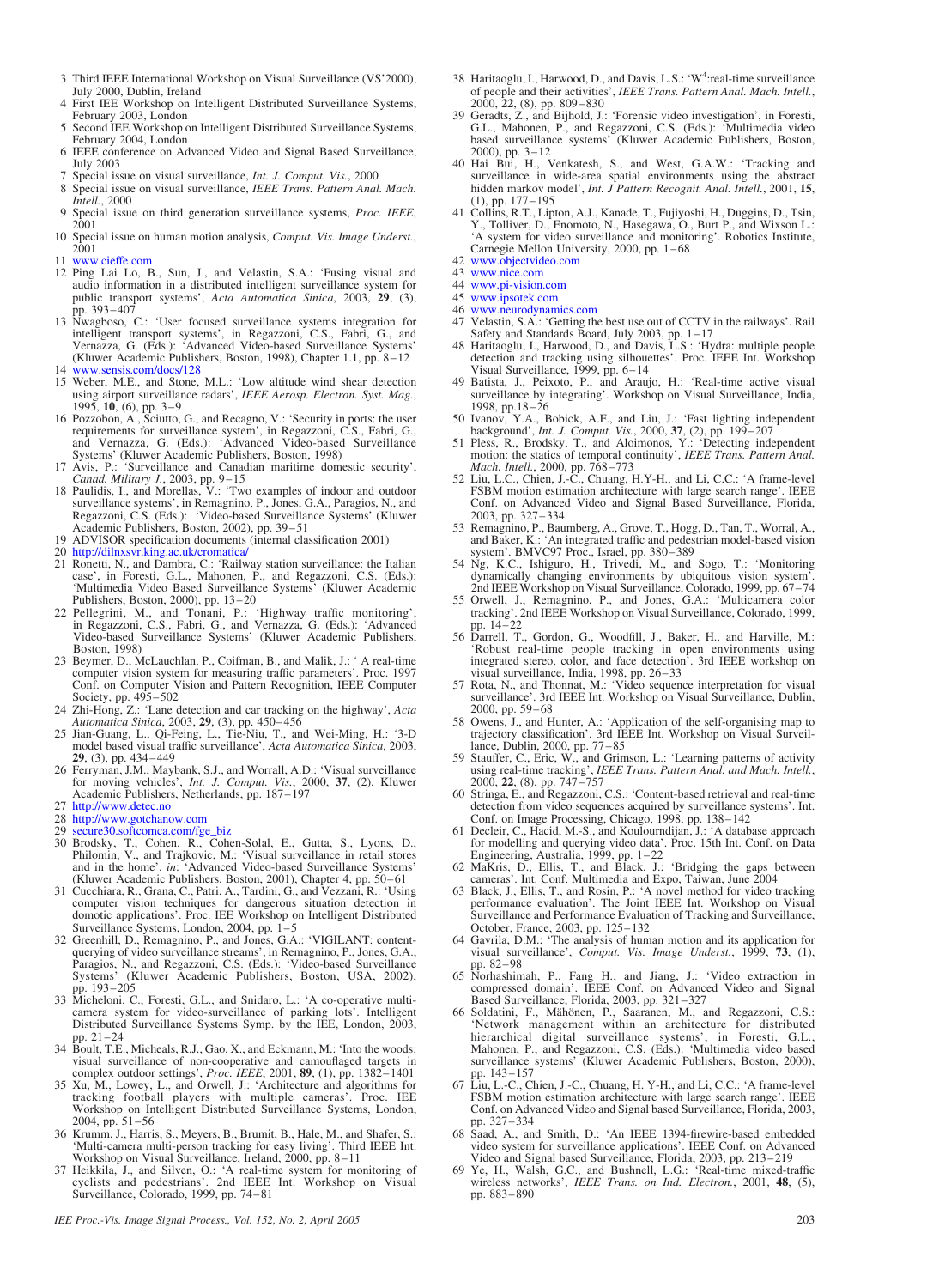- 3 Third IEEE International Workshop on Visual Surveillance (VS'2000), July 2000, Dublin, Ireland
- 4 First IEE Workshop on Intelligent Distributed Surveillance Systems, February 2003, London 5 Second IEE Workshop on Intelligent Distributed Surveillance Systems,
- February 2004, London 6 IEEE conference on Advanced Video and Signal Based Surveillance,
- July 2003
- 7 Special issue on visual surveillance, *Int. J. Comput. Vis.*, 2000 8 Special issue on visual surveillance. *IEEE Trans. Pattern Anal* Special issue on visual surveillance, IEEE Trans. Pattern Anal. Mach. Intell., 2000
- 9 Special issue on third generation surveillance systems, Proc. IEEE, 2001
- 10 Special issue on human motion analysis, Comput. Vis. Image Underst., 2001
- <www.cieffe.com>
- 12 Ping Lai Lo, B., Sun, J., and Velastin, S.A.: 'Fusing visual and audio information in a distributed intelligent surveillance system for public transport systems', Acta Automatica Sinica, 2003, 29, (3), pp. 393–407
- 13 Nwagboso, C.: 'User focused surveillance systems integration for intelligent transport systems', in Regazzoni, C.S., Fabri, G., and Vernazza, G. (Eds.): 'Advanced Video-based Surveillance Systems' (Kluwer Academic Publishers, Boston, 1998), Chapter 1.1, pp. 8–12 14 <www.sensis.com/docs/128>
- 15 Weber, M.E., and Stone, M.L.: 'Low altitude wind shear detection using airport surveillance radars', IEEE Aerosp. Electron. Syst. Mag., 1995, 10, (6), pp. 3–9
- 16 Pozzobon, A., Sciutto, G., and Recagno, V.: 'Security in ports: the user requirements for surveillance system', in Regazzoni, C.S., Fabri, G., and Vernazza, G. (Eds.): 'Advanced Video-based Surveillance Systems' (Kluwer Academic Publishers, Boston, 1998)
- 17 Avis, P.: 'Surveillance and Canadian maritime domestic security',
- Canad. Military J., 2003, pp. 9–15<br>18 Paulidis, I., and Morellas, V.: 'Two examples of indoor and outdoor<br>surveillance systems', in Remagnino, P., Jones, G.A., Paragios, N., and<br>Regazzoni, C.S. (Eds.): 'Video-based Surveil Academic Publishers, Boston, 2002), pp. 39–51
- 19 ADVISOR specification documents (internal classification 2001)
- 
- 20 <http://dilnxsvr.king.ac.uk/cromatica/><br>21 Ronetti, N., and Dambra, C.: 'Railway station surveillance: the Italian<br>case', in Foresti, G.L., Mahonen, P., and Regazzoni, C.S. (Eds.):<br>'Multimedia Video Based Surveillance Sys
- Publishers, Boston, 2000), pp. 13–20<br>22 Pellegrini, M., and Tonani, P.: 'Highway traffic monitoring',<br>in Regazzoni, C.S., Fabri, G., and Vernazza, G. (Eds.): 'Advanced<br>Video-based Surveillance Systems' (Kluwer Academic Pub Boston, 1998)
- 23 Beymer, D., McLauchlan, P., Coifman, B., and Malik, J.: ' A real-time computer vision system for measuring traffic parameters'. Proc. 1997 Conf. on Computer Vision and Pattern Recognition, IEEE Computer
- Society, pp. 495–502<br>
24 Zhi-Hong, Z.: 'Lane detection and car tracking on the highway', Acta<br> *Automatica Sinica*, 2003, **29**, (3), pp. 450–456<br>
25 Jian-Guang, L., Qi-Feing, L., Tie-Niu, T., and Wei-Ming, H.: '3-D
- model based visual traffic surveillance', Acta Automatica Sinica, 2003, 29, (3), pp. 434–449
- 26 Ferryman, J.M., Maybank, S.J., and Worrall, A.D.: 'Visual surveillance for moving vehicles', Int. J. Comput. Vis., 2000, 37, (2), Kluwer Academic Publishers, Netherlands, pp. 187–197
- <http://www.detec.no>
- 28 <http://www.gotchanow.com>
- 29 [secure30.softcomca.com/fge\\_biz](secure30.softcomca.com/fge_biz)
- 30 Brodsky, T., Cohen, R., Cohen-Solal, E., Gutta, S., Lyons, D., Philomin, V., and Trajkovic, M.: 'Visual surveillance in retail stores and in the home', in: 'Advanced Video-based Surveillance Systems'
- (Kluwer Academic Publishers, Boston, 2001), Chapter 4, pp. 50–61 31 Cucchiara, R., Grana, C., Patri, A., Tardini, G., and Vezzani, R.: 'Using computer vision techniques for dangerous situation detection in domotic applications'. Proc. IEE Workshop on Intelligent Distributed Surveillance Systems, London, 2004, pp. 1–5
- 32 Greenhill, D., Remagnino, P., and Jones, G.A.: 'VIGILANT: content-querying of video surveillance streams', in Remagnino, P., Jones, G.A., Paragios, N., and Regazzoni, C.S. (Eds.): 'Video-based Surveillance Systems' (Kluwer Academic Publishers, Boston, USA, 2002), p.  $193-205$
- 33 Micheloni, C., Foresti, G.L., and Snidaro, L.: 'A co-operative multicamera system for video-surveillance of parking lots'. Intelligent Distributed Surveillance Systems Symp. by the IEE, London, 2003, pp. 21–24
- 34 Boult, T.E., Micheals, R.J., Gao, X., and Eckmann, M.: 'Into the woods: visual surveillance of non-cooperative and camouflaged targets in complex outdoor settings', *Proc. IEEE*, 2001, 89, (1), pp. 1382–1401 35 Xu, M., Lowey, L., and Orwell, J.: 'Architecture and algorithms for
- tracking football players with multiple cameras'. Proc. IEE Workshop on Intelligent Distributed Surveillance Systems, London, 2004, pp. 51–56
- 36 Krumm, J., Harris, S., Meyers, B., Brumit, B., Hale, M., and Shafer, S.: 'Multi-camera multi-person tracking for easy living'. Third IEEE Int. Workshop on Visual Surveillance, Ireland, 2000, pp. 8–11
- 37 Heikkila, J., and Silven, O.: 'A real-time system for monitoring of cyclists and pedestrians'. 2nd IEEE Int. Workshop on Visual Surveillance, Colorado, 1999, pp. 74–81
- 38 Haritaoglu, I., Harwood, D., and Davis, L.S.: 'W<sup>4</sup>:real-time surveillance of people and their activities', *IEEE Trans. Pattern Anal. Mach. Intell.*,
- 2000, 22, (8), pp. 809–830 39 Geradts, Z., and Bijhold, J.: 'Forensic video investigation', in Foresti, G.L., Mahonen, P., and Regazzoni, C.S. (Eds.): 'Multimedia video based surveillance systems' (Kluwer Academic Publishers, Boston, 2000), pp. 3–12
- 40 Hai Bui, H., Venkatesh, S., and West, G.A.W.: 'Tracking and surveillance in wide-area spatial environments using the abstract hidden markov model', *Int. J Pattern Recognit. Anal. Intell.*, 2001, **15**, (1), pp. 177–195
- 41 Collins, R.T., Lipton, A.J., Kanade, T., Fujiyoshi, H., Duggins, D., Tsin, Y., Tolliver, D., Enomoto, N., Hasegawa, O., Burt P., and Wixson L.: 'A system for video surveillance and monitoring'. Robotics Institute, Carnegie Mellon University, 2000, pp. 1–68
- 42 <www.objectvideo.com> 43 <www.nice.com>
- 
- 44 <www.pi-vision.com> 45 <www.ipsotek.com>
- 46 <www.neurodynamics.com><br>47 Velastin, S.A.: 'Getting the
- Velastin, S.A.: 'Getting the best use out of CCTV in the railways'. Rail Safety and Standards Board, July 2003, pp. 1–17 48 Haritaoglu, I., Harwood, D., and Davis, L.S.: 'Hydra: multiple people
- detection and tracking using silhouettes'. Proc. IEEE Int. Workshop Visual Surveillance, 1999, pp. 6–14 49 Batista, J., Peixoto, P., and Araujo, H.: 'Real-time active visual
- surveillance by integrating'. Workshop on Visual Surveillance, India, 1998, pp.18–26
- 50 Ivanov, Y.A., Bobick, A.F., and Liu, J.: 'Fast lighting independent background', *Int. J. Comput. Vis.*, 2000, 37, (2), pp. 199–207<br>51 Pless, R., Brodsky, T., and Aloimonos, Y.: 'Detecting independent
- motion: the statics of temporal continuity', IEEE Trans. Pattern Anal. Mach. Intell., 2000, pp. 768–773 52 Liu, L.C., Chien, J.-C., Chuang, H.Y-H., and Li, C.C.: 'A frame-level
- FSBM motion estimation architecture with large search range'. IEEE Conf. on Advanced Video and Signal Based Surveillance, Florida, 2003, pp. 327–334
- 53 Remagnino, P., Baumberg, A., Grove, T., Hogg, D., Tan, T., Worral, A., and Baker, K.: 'An integrated traffic and pedestrian model-based vision system'. BMVC97 Proc., Israel, pp. 380–389 54 Ng, K.C., Ishiguro, H., Trivedi, M., and Sogo, T.: 'Monitoring
- dynamically changing environments by ubiquitous vision system'. 2nd IEEE Workshop on Visual Surveillance, Colorado, 1999, pp. 67–74 55 Orwell, J., Remagnino, P., and Jones, G.A.: 'Multicamera color
- tracking'. 2nd IEEE Workshop on Visual Surveillance, Colorado, 1999,
- pp. 14–22 56 Darrell, T., Gordon, G., Woodfill, J., Baker, H., and Harville, M.: 'Robust real-time people tracking in open environments using integrated stereo, color, and face detection'. 3rd IEEE workshop on visual surveillance, India, 1998, pp. 26–33 57 Rota, N., and Thonnat, M.: 'Video sequence interpretation for visual
- surveillance'. 3rd IEEE Int. Workshop on Visual Surveillance, Dublin, 2000, pp. 59–68
- 58 Owens, J., and Hunter, A.: 'Application of the self-organising map to trajectory classification'. 3rd IEEE Int. Workshop on Visual Surveil-
- lance, Dublin, 2000, pp. 77–85 59 Stauffer, C., Eric, W., and Grimson, L.: 'Learning patterns of activity using real-time tracking', IEEE Trans. Pattern Anal. and Mach. Intell., 2000, 22, (8), pp. 747–757<br>60 Stringa, E., and Regazzoni, C.S.: 'Content-based retrieval and real-time
- detection from video sequences acquired by surveillance systems'. Int. Conf. on Image Processing, Chicago, 1998, pp. 138–142 61 Decleir, C., Hacid, M.-S., and Koulourndijan, J.: 'A database approach
- for modelling and querying video data'. Proc. 15th Int. Conf. on Data Engineering, Australia, 1999, pp. 1–22 62 MaKris, D., Ellis, T., and Black, J.: 'Bridging the gaps between
- cameras'. Int. Conf. Multimedia and Expo, Taiwan, June 2004 63 Black, J., Ellis, T., and Rosin, P.: 'A novel method for video tracking
- performance evaluation'. The Joint IEEE Int. Workshop on Visual Surveillance and Performance Evaluation of Tracking and Surveillance, October, France, 2003, pp. 125–132 64 Gavrila, D.M.: 'The analysis of human motion and its application for
- visual surveillance', *Comput. Vis. Image Underst.*, 1999, 73, (1), pp. 82–98 65 Norhashimah, P., Fang H., and Jiang, J.: 'Video extraction in
- compressed domain'. IEEE Conf. on Advanced Video and Signal Based Surveillance, Florida, 2003, pp. 321–327
- 66 Soldatini, F., Mähönen, P., Saaranen, M., and Regazzoni, C.S.: 'Network management within an architecture for distributed<br>hierarchical digital surveillance systems', in Foresti, G.L.,<br>Mahonen, P., and Regazzoni, C.S. (Eds.): 'Multimedia video based<br>surveillance systems' (Kluwer Academ pp. 143–157
- 67 Liu, L.-C., Chien, J.-C., Chuang, H. Y-H., and Li, C.C.: 'A frame-level FSBM motion estimation architecture with large search range'. IEEE Conf. on Advanced Video and Signal based Surveillance, Florida, 2003, pp. 327–334
- 68 Saad, A., and Smith, D.: 'An IEEE 1394-firewire-based embedded video system for surveillance applications'. IEEE Conf. on Advanced Video and Signal based Surveillance, Florida, 2003, pp. 213–219
- 69 Ye, H., Walsh, G.C., and Bushnell, L.G.: 'Real-time mixed-traffic wireless networks', IEEE Trans. on Ind. Electron., 2001, 48, (5), pp. 883–890